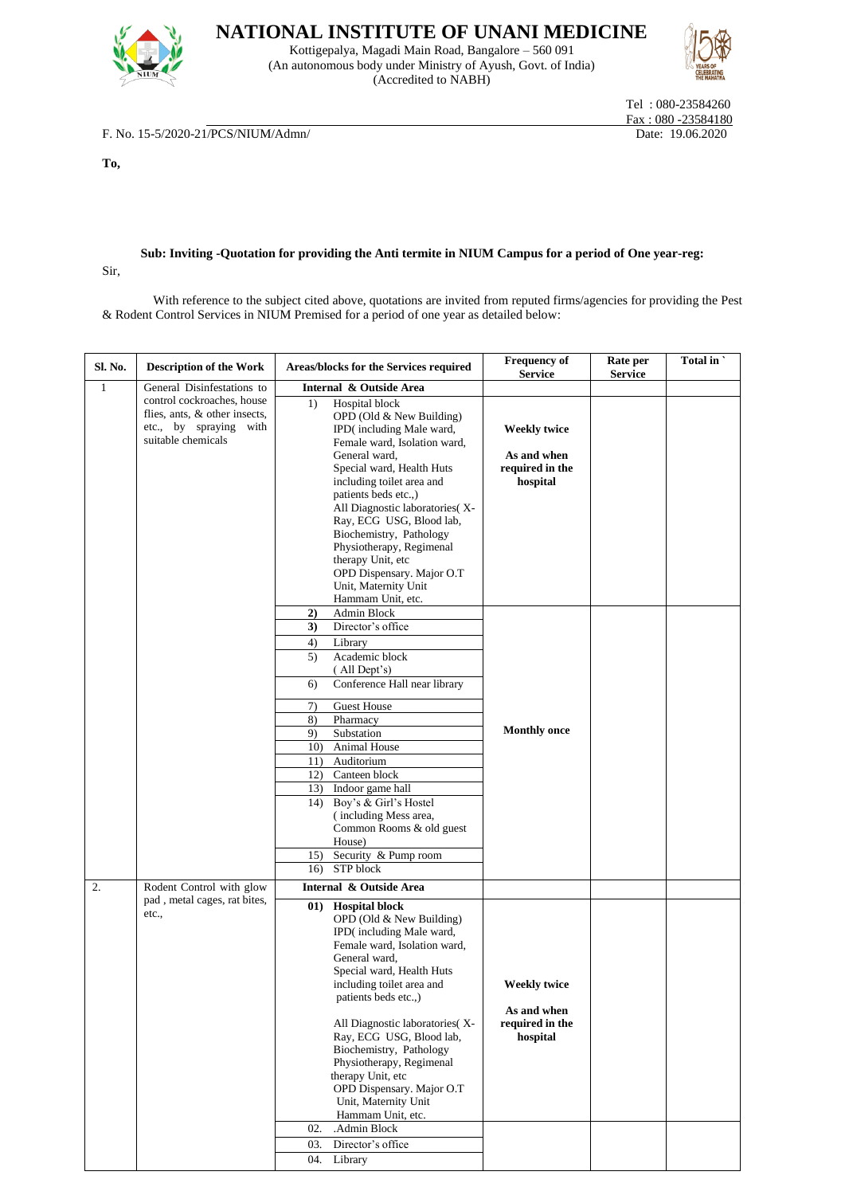

## **NATIONAL INSTITUTE OF UNANI MEDICINE**

Kottigepalya, Magadi Main Road, Bangalore – 560 091 (An autonomous body under Ministry of Ayush, Govt. of India) (Accredited to NABH)



 Tel : 080-23584260 Fax: 080 -23584180<br>Date: 19.06.2020

F. No. 15-5/2020-21/PCS/NIUM/Admn/

**To,**

## **Sub: Inviting -Quotation for providing the Anti termite in NIUM Campus for a period of One year-reg:**

## Sir,

With reference to the subject cited above, quotations are invited from reputed firms/agencies for providing the Pest & Rodent Control Services in NIUM Premised for a period of one year as detailed below:

| Sl. No.      | <b>Description of the Work</b>                                                                              | Areas/blocks for the Services required                                                                                                                                                                                                                                                                                                                                                                                              | <b>Frequency of</b><br><b>Service</b>                             | Rate per<br><b>Service</b> | Total in ` |
|--------------|-------------------------------------------------------------------------------------------------------------|-------------------------------------------------------------------------------------------------------------------------------------------------------------------------------------------------------------------------------------------------------------------------------------------------------------------------------------------------------------------------------------------------------------------------------------|-------------------------------------------------------------------|----------------------------|------------|
| $\mathbf{1}$ | General Disinfestations to                                                                                  | Internal & Outside Area                                                                                                                                                                                                                                                                                                                                                                                                             |                                                                   |                            |            |
|              | control cockroaches, house<br>flies, ants, & other insects,<br>etc., by spraying with<br>suitable chemicals | Hospital block<br>1)<br>OPD (Old & New Building)<br>IPD(including Male ward,<br>Female ward, Isolation ward,<br>General ward.<br>Special ward, Health Huts<br>including toilet area and<br>patients beds etc.,)<br>All Diagnostic laboratories(X-<br>Ray, ECG USG, Blood lab,<br>Biochemistry, Pathology<br>Physiotherapy, Regimenal<br>therapy Unit, etc<br>OPD Dispensary. Major O.T<br>Unit, Maternity Unit<br>Hammam Unit, etc. | <b>Weekly twice</b><br>As and when<br>required in the<br>hospital |                            |            |
|              |                                                                                                             | Admin Block<br>2)                                                                                                                                                                                                                                                                                                                                                                                                                   |                                                                   |                            |            |
|              |                                                                                                             | Director's office<br>3)                                                                                                                                                                                                                                                                                                                                                                                                             |                                                                   |                            |            |
|              |                                                                                                             | Library<br>4)                                                                                                                                                                                                                                                                                                                                                                                                                       | <b>Monthly once</b>                                               |                            |            |
|              |                                                                                                             | Academic block<br>5)                                                                                                                                                                                                                                                                                                                                                                                                                |                                                                   |                            |            |
|              |                                                                                                             | (All Dept's)<br>Conference Hall near library<br>6)                                                                                                                                                                                                                                                                                                                                                                                  |                                                                   |                            |            |
|              |                                                                                                             |                                                                                                                                                                                                                                                                                                                                                                                                                                     |                                                                   |                            |            |
|              |                                                                                                             | <b>Guest House</b><br>7)                                                                                                                                                                                                                                                                                                                                                                                                            |                                                                   |                            |            |
|              |                                                                                                             | 8)<br>Pharmacy<br>9)<br>Substation                                                                                                                                                                                                                                                                                                                                                                                                  |                                                                   |                            |            |
|              |                                                                                                             | 10 <sub>0</sub><br>Animal House                                                                                                                                                                                                                                                                                                                                                                                                     |                                                                   |                            |            |
|              |                                                                                                             | Auditorium<br>11)                                                                                                                                                                                                                                                                                                                                                                                                                   |                                                                   |                            |            |
|              |                                                                                                             | Canteen block<br>12)                                                                                                                                                                                                                                                                                                                                                                                                                |                                                                   |                            |            |
|              |                                                                                                             | Indoor game hall<br>13)                                                                                                                                                                                                                                                                                                                                                                                                             |                                                                   |                            |            |
|              |                                                                                                             | 14) Boy's & Girl's Hostel<br>(including Mess area,                                                                                                                                                                                                                                                                                                                                                                                  |                                                                   |                            |            |
|              |                                                                                                             | Common Rooms & old guest                                                                                                                                                                                                                                                                                                                                                                                                            |                                                                   |                            |            |
|              |                                                                                                             | House)                                                                                                                                                                                                                                                                                                                                                                                                                              |                                                                   |                            |            |
|              |                                                                                                             | Security & Pump room<br>15)                                                                                                                                                                                                                                                                                                                                                                                                         |                                                                   |                            |            |
|              |                                                                                                             | STP block<br>16)                                                                                                                                                                                                                                                                                                                                                                                                                    |                                                                   |                            |            |
| 2.           | Rodent Control with glow                                                                                    | Internal & Outside Area                                                                                                                                                                                                                                                                                                                                                                                                             |                                                                   |                            |            |
|              | pad, metal cages, rat bites,<br>etc.,                                                                       | <b>Hospital block</b><br>01)                                                                                                                                                                                                                                                                                                                                                                                                        |                                                                   |                            |            |
|              |                                                                                                             | OPD (Old $&$ New Building)                                                                                                                                                                                                                                                                                                                                                                                                          |                                                                   |                            |            |
|              |                                                                                                             | IPD(including Male ward,<br>Female ward, Isolation ward,                                                                                                                                                                                                                                                                                                                                                                            |                                                                   |                            |            |
|              |                                                                                                             | General ward,                                                                                                                                                                                                                                                                                                                                                                                                                       |                                                                   |                            |            |
|              |                                                                                                             | Special ward, Health Huts                                                                                                                                                                                                                                                                                                                                                                                                           |                                                                   |                            |            |
|              |                                                                                                             | including toilet area and                                                                                                                                                                                                                                                                                                                                                                                                           | <b>Weekly twice</b>                                               |                            |            |
|              |                                                                                                             | patients beds etc.,)                                                                                                                                                                                                                                                                                                                                                                                                                | As and when                                                       |                            |            |
|              |                                                                                                             | All Diagnostic laboratories(X-                                                                                                                                                                                                                                                                                                                                                                                                      | required in the<br>hospital                                       |                            |            |
|              |                                                                                                             | Ray, ECG USG, Blood lab,                                                                                                                                                                                                                                                                                                                                                                                                            |                                                                   |                            |            |
|              |                                                                                                             | Biochemistry, Pathology                                                                                                                                                                                                                                                                                                                                                                                                             |                                                                   |                            |            |
|              |                                                                                                             | Physiotherapy, Regimenal                                                                                                                                                                                                                                                                                                                                                                                                            |                                                                   |                            |            |
|              |                                                                                                             | therapy Unit, etc<br>OPD Dispensary. Major O.T                                                                                                                                                                                                                                                                                                                                                                                      |                                                                   |                            |            |
|              |                                                                                                             | Unit, Maternity Unit                                                                                                                                                                                                                                                                                                                                                                                                                |                                                                   |                            |            |
|              |                                                                                                             | Hammam Unit, etc.                                                                                                                                                                                                                                                                                                                                                                                                                   |                                                                   |                            |            |
|              |                                                                                                             | .Admin Block<br>02.                                                                                                                                                                                                                                                                                                                                                                                                                 |                                                                   |                            |            |
|              |                                                                                                             | Director's office<br>03.                                                                                                                                                                                                                                                                                                                                                                                                            |                                                                   |                            |            |
|              |                                                                                                             | 04. Library                                                                                                                                                                                                                                                                                                                                                                                                                         |                                                                   |                            |            |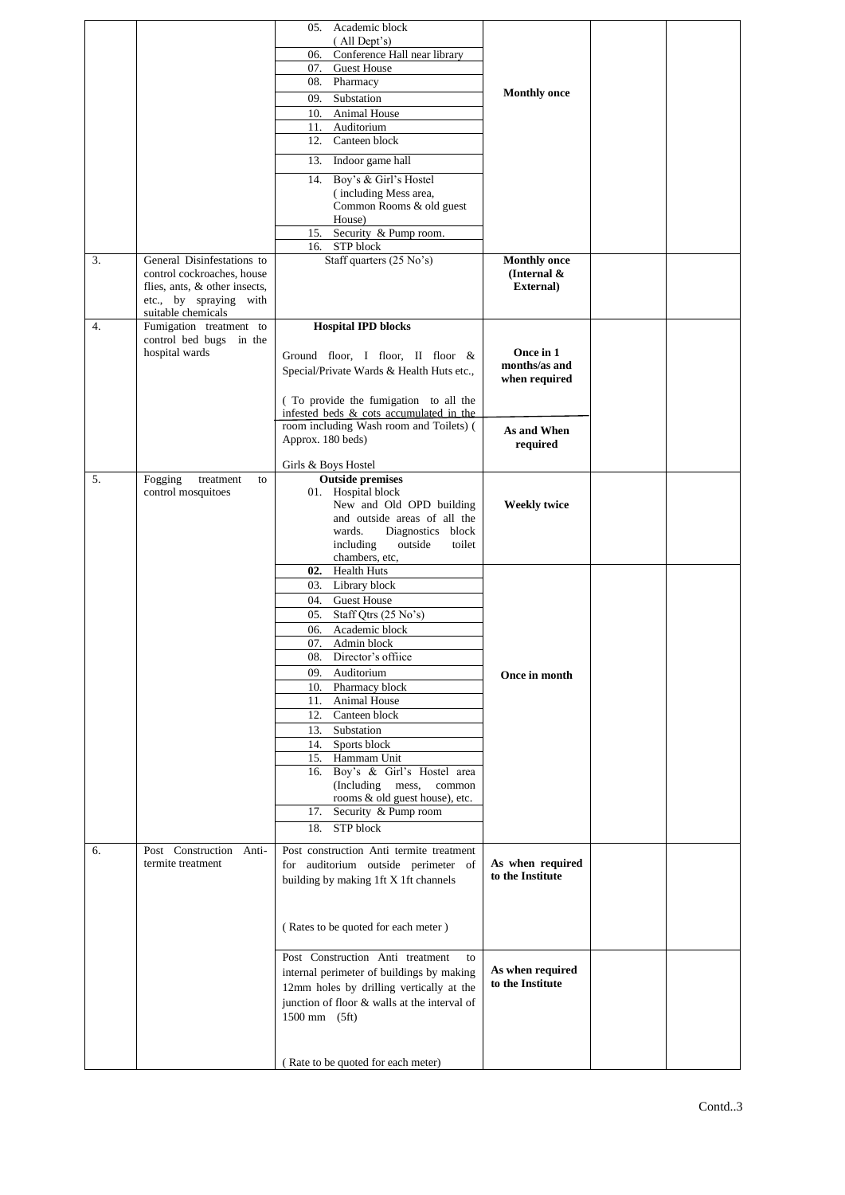| 3. | General Disinfestations to<br>control cockroaches, house<br>flies, ants, & other insects,                            | Academic block<br>05.<br>(All Dept's)<br>Conference Hall near library<br>06.<br>07.<br><b>Guest House</b><br>Pharmacy<br>08.<br>Substation<br>09.<br>Animal House<br>10.<br>Auditorium<br>11.<br>Canteen block<br>12.<br>13.<br>Indoor game hall<br>Boy's & Girl's Hostel<br>14.<br>(including Mess area,<br>Common Rooms & old guest<br>House)<br>Security & Pump room.<br>15.<br>16. STP block<br>Staff quarters (25 No's)                                                                           | <b>Monthly once</b><br><b>Monthly once</b><br>(Internal &<br>External) |  |
|----|----------------------------------------------------------------------------------------------------------------------|--------------------------------------------------------------------------------------------------------------------------------------------------------------------------------------------------------------------------------------------------------------------------------------------------------------------------------------------------------------------------------------------------------------------------------------------------------------------------------------------------------|------------------------------------------------------------------------|--|
| 4. | etc., by spraying with<br>suitable chemicals<br>Fumigation treatment to<br>control bed bugs in the<br>hospital wards | <b>Hospital IPD blocks</b><br>Ground floor, I floor, II floor &                                                                                                                                                                                                                                                                                                                                                                                                                                        | Once in 1<br>months/as and                                             |  |
|    |                                                                                                                      | Special/Private Wards & Health Huts etc.,<br>(To provide the fumigation to all the<br>infested beds & cots accumulated in the<br>room including Wash room and Toilets) (<br>Approx. 180 beds)                                                                                                                                                                                                                                                                                                          | when required<br>As and When<br>required                               |  |
|    |                                                                                                                      | Girls & Boys Hostel                                                                                                                                                                                                                                                                                                                                                                                                                                                                                    |                                                                        |  |
| 5. | Fogging<br>treatment<br>to<br>control mosquitoes                                                                     | <b>Outside premises</b><br>01. Hospital block<br>New and Old OPD building<br>and outside areas of all the<br>Diagnostics block<br>wards.<br>including<br>outside<br>toilet<br>chambers, etc,                                                                                                                                                                                                                                                                                                           | <b>Weekly twice</b>                                                    |  |
|    |                                                                                                                      | <b>Health Huts</b><br>02.<br>Library block<br>03.<br><b>Guest House</b><br>04.<br>Staff Qtrs (25 No's)<br>05.<br>Academic block<br>06.<br>07.<br>Admin block<br>08.<br>Director's office<br>09.<br>Auditorium<br>Pharmacy block<br>10.<br>Animal House<br>11.<br>12. Canteen block<br>Substation<br>13.<br>14. Sports block<br>15. Hammam Unit<br>Boy's & Girl's Hostel area<br>16.<br>(Including mess,<br>common<br>rooms & old guest house), etc.<br>Security & Pump room<br>17.<br>STP block<br>18. | Once in month                                                          |  |
| 6. | Post Construction Anti-<br>termite treatment                                                                         | Post construction Anti termite treatment<br>for auditorium outside perimeter of<br>building by making 1ft X 1ft channels<br>(Rates to be quoted for each meter)                                                                                                                                                                                                                                                                                                                                        | As when required<br>to the Institute                                   |  |
|    |                                                                                                                      | Post Construction Anti treatment<br>to<br>internal perimeter of buildings by making<br>12mm holes by drilling vertically at the<br>junction of floor & walls at the interval of<br>1500 mm (5ft)                                                                                                                                                                                                                                                                                                       | As when required<br>to the Institute                                   |  |
|    |                                                                                                                      | (Rate to be quoted for each meter)                                                                                                                                                                                                                                                                                                                                                                                                                                                                     |                                                                        |  |